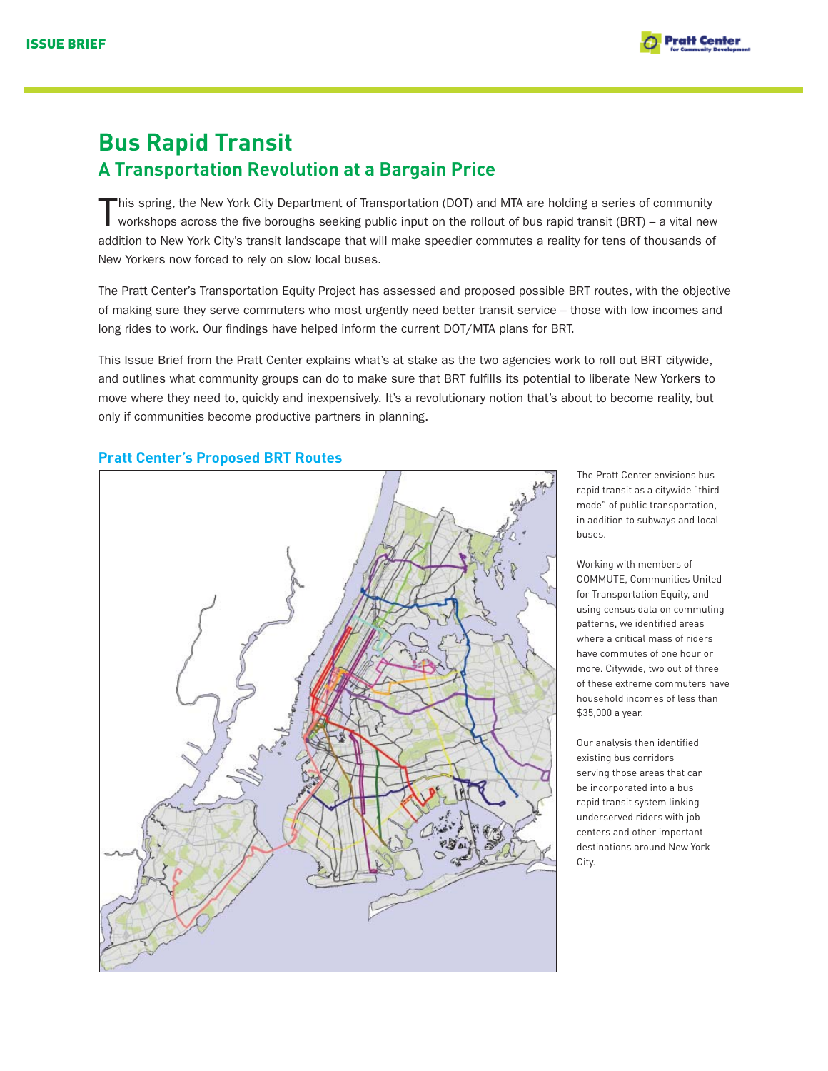

# **Bus Rapid Transit A Transportation Revolution at a Bargain Price**

This spring, the New York City Department of Transportation (DOT) and MTA are holding a series of community workshops across the five boroughs seeking public input on the rollout of bus rapid transit (BRT) – a vital new addition to New York City's transit landscape that will make speedier commutes a reality for tens of thousands of New Yorkers now forced to rely on slow local buses.

The Pratt Center's Transportation Equity Project has assessed and proposed possible BRT routes, with the objective of making sure they serve commuters who most urgently need better transit service – those with low incomes and long rides to work. Our findings have helped inform the current DOT/MTA plans for BRT.

This Issue Brief from the Pratt Center explains what's at stake as the two agencies work to roll out BRT citywide, and outlines what community groups can do to make sure that BRT fulfills its potential to liberate New Yorkers to move where they need to, quickly and inexpensively. It's a revolutionary notion that's about to become reality, but only if communities become productive partners in planning.



# **Pratt Center's Proposed BRT Routes**

The Pratt Center envisions bus rapid transit as a citywide "third mode" of public transportation, in addition to subways and local buses.

Working with members of COMMUTE, Communities United for Transportation Equity, and using census data on commuting patterns, we identified areas where a critical mass of riders have commutes of one hour or more. Citywide, two out of three of these extreme commuters have household incomes of less than \$35,000 a year.

Our analysis then identified existing bus corridors serving those areas that can be incorporated into a bus rapid transit system linking underserved riders with job centers and other important destinations around New York City.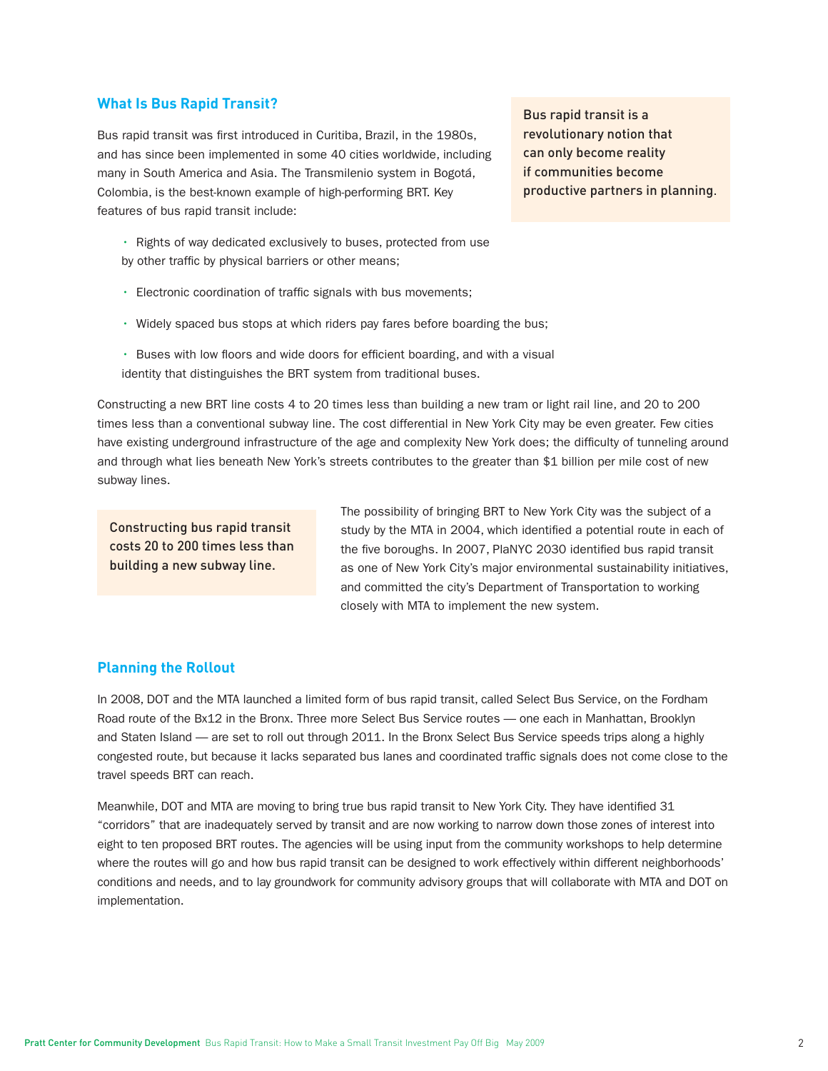## **What Is Bus Rapid Transit?**

Bus rapid transit was first introduced in Curitiba, Brazil, in the 1980s, and has since been implemented in some 40 cities worldwide, including many in South America and Asia. The Transmilenio system in Bogotá, Colombia, is the best-known example of high-performing BRT. Key features of bus rapid transit include:

• Rights of way dedicated exclusively to buses, protected from use by other traffic by physical barriers or other means;

- Electronic coordination of traffic signals with bus movements;
- Widely spaced bus stops at which riders pay fares before boarding the bus;
- Buses with low floors and wide doors for efficient boarding, and with a visual identity that distinguishes the BRT system from traditional buses.

Constructing a new BRT line costs 4 to 20 times less than building a new tram or light rail line, and 20 to 200 times less than a conventional subway line. The cost differential in New York City may be even greater. Few cities have existing underground infrastructure of the age and complexity New York does; the difficulty of tunneling around and through what lies beneath New York's streets contributes to the greater than \$1 billion per mile cost of new subway lines.

Constructing bus rapid transit costs 20 to 200 times less than building a new subway line.

The possibility of bringing BRT to New York City was the subject of a study by the MTA in 2004, which identified a potential route in each of the five boroughs. In 2007, PlaNYC 2030 identified bus rapid transit as one of New York City's major environmental sustainability initiatives, and committed the city's Department of Transportation to working closely with MTA to implement the new system.

## **Planning the Rollout**

In 2008, DOT and the MTA launched a limited form of bus rapid transit, called Select Bus Service, on the Fordham Road route of the Bx12 in the Bronx. Three more Select Bus Service routes — one each in Manhattan, Brooklyn and Staten Island — are set to roll out through 2011. In the Bronx Select Bus Service speeds trips along a highly congested route, but because it lacks separated bus lanes and coordinated traffic signals does not come close to the travel speeds BRT can reach.

Meanwhile, DOT and MTA are moving to bring true bus rapid transit to New York City. They have identified 31 "corridors" that are inadequately served by transit and are now working to narrow down those zones of interest into eight to ten proposed BRT routes. The agencies will be using input from the community workshops to help determine where the routes will go and how bus rapid transit can be designed to work effectively within different neighborhoods' conditions and needs, and to lay groundwork for community advisory groups that will collaborate with MTA and DOT on implementation.

Bus rapid transit is a revolutionary notion that can only become reality if communities become productive partners in planning.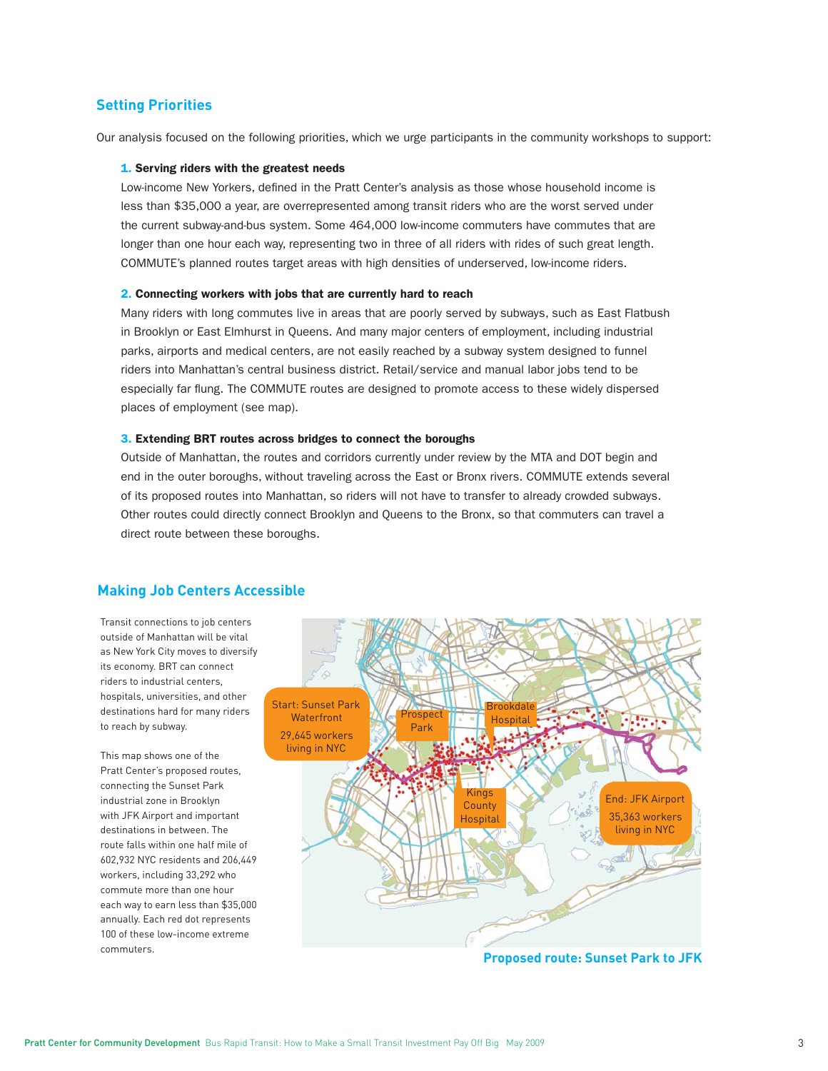## **Setting Priorities**

Our analysis focused on the following priorities, which we urge participants in the community workshops to support:

#### 1. Serving riders with the greatest needs

Low-income New Yorkers, defined in the Pratt Center's analysis as those whose household income is less than \$35,000 a year, are overrepresented among transit riders who are the worst served under the current subway-and-bus system. Some 464,000 low-income commuters have commutes that are longer than one hour each way, representing two in three of all riders with rides of such great length. COMMUTE's planned routes target areas with high densities of underserved, low-income riders.

#### 2. Connecting workers with jobs that are currently hard to reach

Many riders with long commutes live in areas that are poorly served by subways, such as East Flatbush in Brooklyn or East Elmhurst in Queens. And many major centers of employment, including industrial parks, airports and medical centers, are not easily reached by a subway system designed to funnel riders into Manhattan's central business district. Retail/service and manual labor jobs tend to be especially far flung. The COMMUTE routes are designed to promote access to these widely dispersed places of employment (see map).

#### 3. Extending BRT routes across bridges to connect the boroughs

Outside of Manhattan, the routes and corridors currently under review by the MTA and DOT begin and end in the outer boroughs, without traveling across the East or Bronx rivers. COMMUTE extends several of its proposed routes into Manhattan, so riders will not have to transfer to already crowded subways. Other routes could directly connect Brooklyn and Queens to the Bronx, so that commuters can travel a direct route between these boroughs.

### **Making Job Centers Accessible**

Transit connections to job centers outside of Manhattan will be vital as New York City moves to diversify its economy. BRT can connect riders to industrial centers, hospitals, universities, and other destinations hard for many riders to reach by subway.

This map shows one of the Pratt Center's proposed routes, connecting the Sunset Park industrial zone in Brooklyn with JFK Airport and important destinations in between. The route falls within one half mile of 602,932 NYC residents and 206,449 workers, including 33,292 who commute more than one hour each way to earn less than \$35,000 annually. Each red dot represents 100 of these low-income extreme commuters.